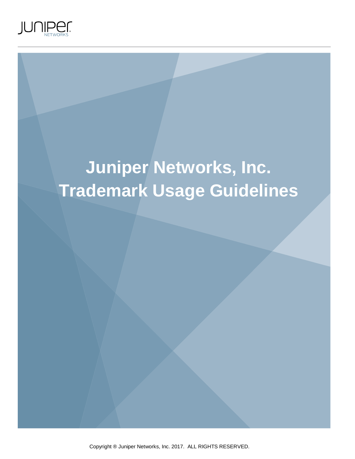

# **Juniper Networks, Inc. Trademark Usage Guidelines**

Copyright ® Juniper Networks, Inc. 2017. ALL RIGHTS RESERVED.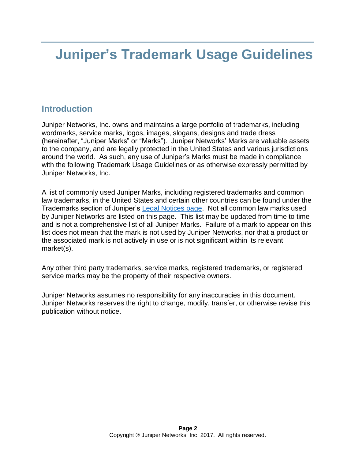# **Juniper's Trademark Usage Guidelines**

## **Introduction**

Juniper Networks, Inc. owns and maintains a large portfolio of trademarks, including wordmarks, service marks, logos, images, slogans, designs and trade dress (hereinafter, "Juniper Marks" or "Marks"). Juniper Networks' Marks are valuable assets to the company, and are legally protected in the United States and various jurisdictions around the world. As such, any use of Juniper's Marks must be made in compliance with the following Trademark Usage Guidelines or as otherwise expressly permitted by Juniper Networks, Inc.

A list of commonly used Juniper Marks, including registered trademarks and common law trademarks, in the United States and certain other countries can be found under the Trademarks section of Juniper's [Legal Notices page.](http://www.juniper.net/us/en/legal-notices/) Not all common law marks used by Juniper Networks are listed on this page. This list may be updated from time to time and is not a comprehensive list of all Juniper Marks. Failure of a mark to appear on this list does not mean that the mark is not used by Juniper Networks, nor that a product or the associated mark is not actively in use or is not significant within its relevant market(s).

Any other third party trademarks, service marks, registered trademarks, or registered service marks may be the property of their respective owners.

Juniper Networks assumes no responsibility for any inaccuracies in this document. Juniper Networks reserves the right to change, modify, transfer, or otherwise revise this publication without notice.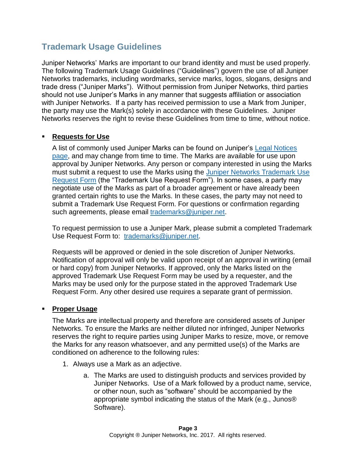# **Trademark Usage Guidelines**

Juniper Networks' Marks are important to our brand identity and must be used properly. The following Trademark Usage Guidelines ("Guidelines") govern the use of all Juniper Networks trademarks, including wordmarks, service marks, logos, slogans, designs and trade dress ("Juniper Marks"). Without permission from Juniper Networks, third parties should not use Juniper's Marks in any manner that suggests affiliation or association with Juniper Networks. If a party has received permission to use a Mark from Juniper, the party may use the Mark(s) solely in accordance with these Guidelines. Juniper Networks reserves the right to revise these Guidelines from time to time, without notice.

### **Requests for Use**

A list of commonly used Juniper Marks can be found on Juniper's [Legal Notices](http://www.juniper.net/us/en/legal-notices/)  [page,](http://www.juniper.net/us/en/legal-notices/) and may change from time to time. The Marks are available for use upon approval by Juniper Networks. Any person or company interested in using the Marks must submit a request to use the Marks using the [Juniper Networks Trademark Use](http://www.juniper.net/assets/docs/juniper-networks-trademark-use-request-form.docx)  [Request Form](http://www.juniper.net/assets/docs/juniper-networks-trademark-use-request-form.docx) (the "Trademark Use Request Form"). In some cases, a party may negotiate use of the Marks as part of a broader agreement or have already been granted certain rights to use the Marks. In these cases, the party may not need to submit a Trademark Use Request Form. For questions or confirmation regarding such agreements, please email [trademarks@juniper.net.](mailto:trademarks@juniper.net)

To request permission to use a Juniper Mark, please submit a completed Trademark Use Request Form to: [trademarks@juniper.net.](mailto:trademarks@juniper.net)

Requests will be approved or denied in the sole discretion of Juniper Networks. Notification of approval will only be valid upon receipt of an approval in writing (email or hard copy) from Juniper Networks. If approved, only the Marks listed on the approved Trademark Use Request Form may be used by a requester, and the Marks may be used only for the purpose stated in the approved Trademark Use Request Form. Any other desired use requires a separate grant of permission.

#### ▪ **Proper Usage**

The Marks are intellectual property and therefore are considered assets of Juniper Networks. To ensure the Marks are neither diluted nor infringed, Juniper Networks reserves the right to require parties using Juniper Marks to resize, move, or remove the Marks for any reason whatsoever, and any permitted use(s) of the Marks are conditioned on adherence to the following rules:

- 1. Always use a Mark as an adjective.
	- a. The Marks are used to distinguish products and services provided by Juniper Networks. Use of a Mark followed by a product name, service, or other noun, such as "software" should be accompanied by the appropriate symbol indicating the status of the Mark (e.g., Junos® Software).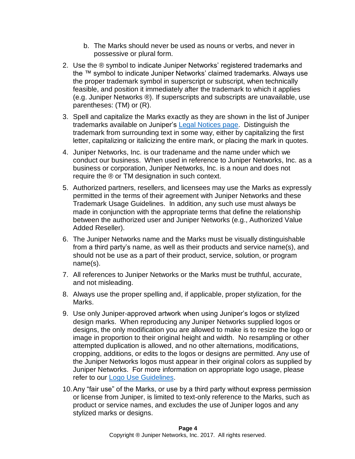- b. The Marks should never be used as nouns or verbs, and never in possessive or plural form.
- 2. Use the ® symbol to indicate Juniper Networks' registered trademarks and the ™ symbol to indicate Juniper Networks' claimed trademarks. Always use the proper trademark symbol in superscript or subscript, when technically feasible, and position it immediately after the trademark to which it applies (e.g. Juniper Networks ®). If superscripts and subscripts are unavailable, use parentheses: (TM) or (R).
- 3. Spell and capitalize the Marks exactly as they are shown in the list of Juniper trademarks available on Juniper's [Legal Notices page.](http://www.juniper.net/us/en/legal-notices/) Distinguish the trademark from surrounding text in some way, either by capitalizing the first letter, capitalizing or italicizing the entire mark, or placing the mark in quotes.
- 4. Juniper Networks, Inc. is our tradename and the name under which we conduct our business. When used in reference to Juniper Networks, Inc. as a business or corporation, Juniper Networks, Inc. is a noun and does not require the ® or TM designation in such context.
- 5. Authorized partners, resellers, and licensees may use the Marks as expressly permitted in the terms of their agreement with Juniper Networks and these Trademark Usage Guidelines. In addition, any such use must always be made in conjunction with the appropriate terms that define the relationship between the authorized user and Juniper Networks (e.g., Authorized Value Added Reseller).
- 6. The Juniper Networks name and the Marks must be visually distinguishable from a third party's name, as well as their products and service name(s), and should not be use as a part of their product, service, solution, or program name(s).
- 7. All references to Juniper Networks or the Marks must be truthful, accurate, and not misleading.
- 8. Always use the proper spelling and, if applicable, proper stylization, for the Marks.
- 9. Use only Juniper-approved artwork when using Juniper's logos or stylized design marks. When reproducing any Juniper Networks supplied logos or designs, the only modification you are allowed to make is to resize the logo or image in proportion to their original height and width. No resampling or other attempted duplication is allowed, and no other alternations, modifications, cropping, additions, or edits to the logos or designs are permitted. Any use of the Juniper Networks logos must appear in their original colors as supplied by Juniper Networks. For more information on appropriate logo usage, please refer to our [Logo Use Guidelines.](http://www.juniper.net/assets/us/en/local/pdf/design-guides/3100031-en.pdf)
- 10.Any "fair use" of the Marks, or use by a third party without express permission or license from Juniper, is limited to text-only reference to the Marks, such as product or service names, and excludes the use of Juniper logos and any stylized marks or designs.